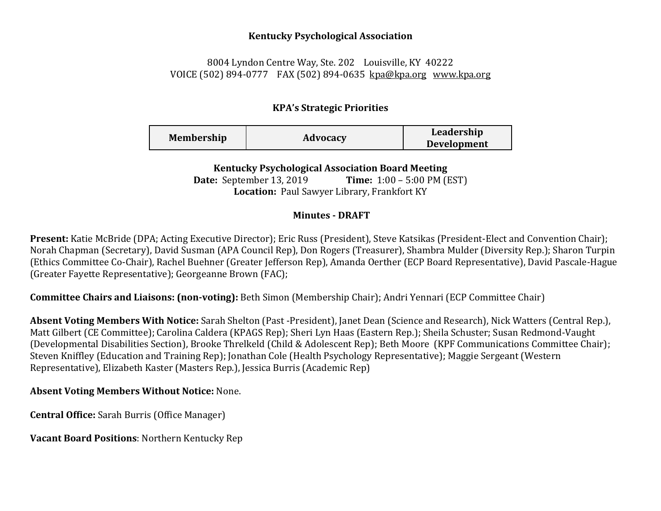### **Kentucky Psychological Association**

# 8004 Lyndon Centre Way, Ste. 202 Louisville, KY 40222 VOICE (502) 894-0777 FAX (502) 894-0635 [kpa@kpa.org](mailto:kpa@kih.net) [www.kpa.org](http://www.kpa.org/)

# **KPA's Strategic Priorities**

| <b>Membership</b> | Advocacy | Leadership<br><b>Development</b> |
|-------------------|----------|----------------------------------|
|                   |          |                                  |

**Kentucky Psychological Association Board Meeting** 

**Date:** September 13, 2019 **Time:** 1:00 – 5:00 PM (EST) **Location:** Paul Sawyer Library, Frankfort KY

# **Minutes - DRAFT**

Present: Katie McBride (DPA; Acting Executive Director); Eric Russ (President), Steve Katsikas (President-Elect and Convention Chair); Norah Chapman (Secretary), David Susman (APA Council Rep), Don Rogers (Treasurer), Shambra Mulder (Diversity Rep.); Sharon Turpin (Ethics Committee Co-Chair), Rachel Buehner (Greater Jefferson Rep), Amanda Oerther (ECP Board Representative), David Pascale-Hague (Greater Fayette Representative); Georgeanne Brown (FAC);

**Committee Chairs and Liaisons: (non-voting):** Beth Simon (Membership Chair); Andri Yennari (ECP Committee Chair)

**Absent Voting Members With Notice:** Sarah Shelton (Past -President), Janet Dean (Science and Research), Nick Watters (Central Rep.), Matt Gilbert (CE Committee); Carolina Caldera (KPAGS Rep); Sheri Lyn Haas (Eastern Rep.); Sheila Schuster; Susan Redmond-Vaught (Developmental Disabilities Section), Brooke Threlkeld (Child & Adolescent Rep); Beth Moore (KPF Communications Committee Chair); Steven Kniffley (Education and Training Rep); Jonathan Cole (Health Psychology Representative); Maggie Sergeant (Western Representative), Elizabeth Kaster (Masters Rep.), Jessica Burris (Academic Rep)

# **Absent Voting Members Without Notice:** None.

**Central Office:** Sarah Burris (Office Manager)

**Vacant Board Positions**: Northern Kentucky Rep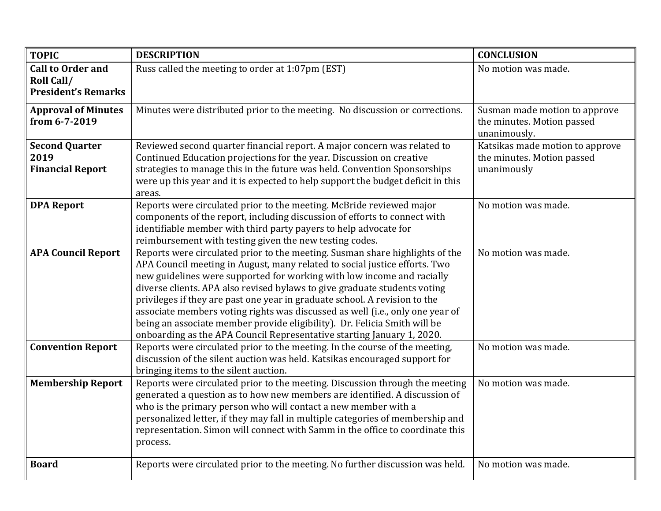| <b>TOPIC</b>                                | <b>DESCRIPTION</b>                                                                                                                                         | <b>CONCLUSION</b>                                           |
|---------------------------------------------|------------------------------------------------------------------------------------------------------------------------------------------------------------|-------------------------------------------------------------|
| <b>Call to Order and</b>                    | Russ called the meeting to order at 1:07pm (EST)                                                                                                           | No motion was made.                                         |
| Roll Call/                                  |                                                                                                                                                            |                                                             |
| <b>President's Remarks</b>                  |                                                                                                                                                            |                                                             |
| <b>Approval of Minutes</b><br>from 6-7-2019 | Minutes were distributed prior to the meeting. No discussion or corrections.                                                                               | Susman made motion to approve<br>the minutes. Motion passed |
|                                             |                                                                                                                                                            | unanimously.                                                |
| <b>Second Quarter</b>                       | Reviewed second quarter financial report. A major concern was related to                                                                                   | Katsikas made motion to approve                             |
| 2019                                        | Continued Education projections for the year. Discussion on creative                                                                                       | the minutes. Motion passed                                  |
| <b>Financial Report</b>                     | strategies to manage this in the future was held. Convention Sponsorships                                                                                  | unanimously                                                 |
|                                             | were up this year and it is expected to help support the budget deficit in this<br>areas.                                                                  |                                                             |
| <b>DPA Report</b>                           | Reports were circulated prior to the meeting. McBride reviewed major                                                                                       | No motion was made.                                         |
|                                             | components of the report, including discussion of efforts to connect with                                                                                  |                                                             |
|                                             | identifiable member with third party payers to help advocate for                                                                                           |                                                             |
|                                             | reimbursement with testing given the new testing codes.                                                                                                    |                                                             |
| <b>APA Council Report</b>                   | Reports were circulated prior to the meeting. Susman share highlights of the                                                                               | No motion was made.                                         |
|                                             | APA Council meeting in August, many related to social justice efforts. Two                                                                                 |                                                             |
|                                             | new guidelines were supported for working with low income and racially                                                                                     |                                                             |
|                                             | diverse clients. APA also revised bylaws to give graduate students voting                                                                                  |                                                             |
|                                             | privileges if they are past one year in graduate school. A revision to the                                                                                 |                                                             |
|                                             | associate members voting rights was discussed as well (i.e., only one year of                                                                              |                                                             |
|                                             | being an associate member provide eligibility). Dr. Felicia Smith will be                                                                                  |                                                             |
|                                             | onboarding as the APA Council Representative starting January 1, 2020.                                                                                     |                                                             |
| <b>Convention Report</b>                    | Reports were circulated prior to the meeting. In the course of the meeting,                                                                                | No motion was made.                                         |
|                                             | discussion of the silent auction was held. Katsikas encouraged support for                                                                                 |                                                             |
|                                             | bringing items to the silent auction.                                                                                                                      |                                                             |
| <b>Membership Report</b>                    | Reports were circulated prior to the meeting. Discussion through the meeting<br>generated a question as to how new members are identified. A discussion of | No motion was made.                                         |
|                                             | who is the primary person who will contact a new member with a                                                                                             |                                                             |
|                                             | personalized letter, if they may fall in multiple categories of membership and                                                                             |                                                             |
|                                             | representation. Simon will connect with Samm in the office to coordinate this                                                                              |                                                             |
|                                             | process.                                                                                                                                                   |                                                             |
|                                             |                                                                                                                                                            |                                                             |
| <b>Board</b>                                | Reports were circulated prior to the meeting. No further discussion was held.                                                                              | No motion was made.                                         |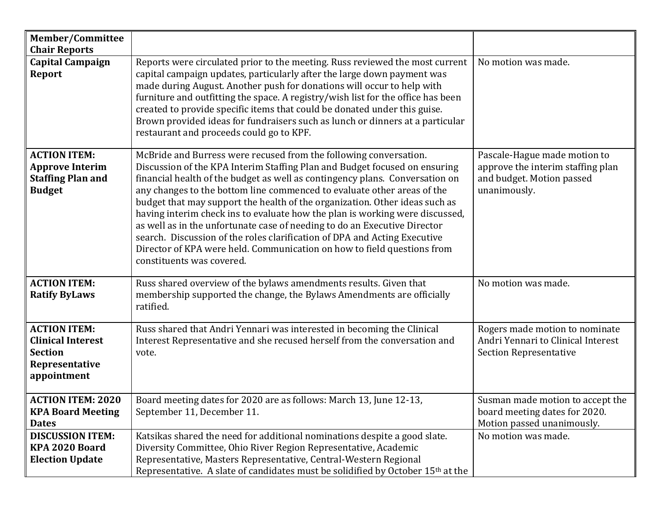| Member/Committee<br><b>Chair Reports</b>                                                           |                                                                                                                                                                                                                                                                                                                                                                                                                                                                                                                                                                                                                                                                                                                                             |                                                                                                                |
|----------------------------------------------------------------------------------------------------|---------------------------------------------------------------------------------------------------------------------------------------------------------------------------------------------------------------------------------------------------------------------------------------------------------------------------------------------------------------------------------------------------------------------------------------------------------------------------------------------------------------------------------------------------------------------------------------------------------------------------------------------------------------------------------------------------------------------------------------------|----------------------------------------------------------------------------------------------------------------|
| <b>Capital Campaign</b><br><b>Report</b>                                                           | Reports were circulated prior to the meeting. Russ reviewed the most current<br>capital campaign updates, particularly after the large down payment was<br>made during August. Another push for donations will occur to help with<br>furniture and outfitting the space. A registry/wish list for the office has been<br>created to provide specific items that could be donated under this guise.<br>Brown provided ideas for fundraisers such as lunch or dinners at a particular<br>restaurant and proceeds could go to KPF.                                                                                                                                                                                                             | No motion was made.                                                                                            |
| <b>ACTION ITEM:</b><br><b>Approve Interim</b><br><b>Staffing Plan and</b><br><b>Budget</b>         | McBride and Burress were recused from the following conversation.<br>Discussion of the KPA Interim Staffing Plan and Budget focused on ensuring<br>financial health of the budget as well as contingency plans. Conversation on<br>any changes to the bottom line commenced to evaluate other areas of the<br>budget that may support the health of the organization. Other ideas such as<br>having interim check ins to evaluate how the plan is working were discussed,<br>as well as in the unfortunate case of needing to do an Executive Director<br>search. Discussion of the roles clarification of DPA and Acting Executive<br>Director of KPA were held. Communication on how to field questions from<br>constituents was covered. | Pascale-Hague made motion to<br>approve the interim staffing plan<br>and budget. Motion passed<br>unanimously. |
| <b>ACTION ITEM:</b><br><b>Ratify ByLaws</b>                                                        | Russ shared overview of the bylaws amendments results. Given that<br>membership supported the change, the Bylaws Amendments are officially<br>ratified.                                                                                                                                                                                                                                                                                                                                                                                                                                                                                                                                                                                     | No motion was made.                                                                                            |
| <b>ACTION ITEM:</b><br><b>Clinical Interest</b><br><b>Section</b><br>Representative<br>appointment | Russ shared that Andri Yennari was interested in becoming the Clinical<br>Interest Representative and she recused herself from the conversation and<br>vote.                                                                                                                                                                                                                                                                                                                                                                                                                                                                                                                                                                                | Rogers made motion to nominate<br>Andri Yennari to Clinical Interest<br><b>Section Representative</b>          |
| <b>ACTION ITEM: 2020</b><br><b>KPA Board Meeting</b><br><b>Dates</b>                               | Board meeting dates for 2020 are as follows: March 13, June 12-13,<br>September 11, December 11.                                                                                                                                                                                                                                                                                                                                                                                                                                                                                                                                                                                                                                            | Susman made motion to accept the<br>board meeting dates for 2020.<br>Motion passed unanimously.                |
| <b>DISCUSSION ITEM:</b><br>KPA 2020 Board<br><b>Election Update</b>                                | Katsikas shared the need for additional nominations despite a good slate.<br>Diversity Committee, Ohio River Region Representative, Academic<br>Representative, Masters Representative, Central-Western Regional<br>Representative. A slate of candidates must be solidified by October 15 <sup>th</sup> at the                                                                                                                                                                                                                                                                                                                                                                                                                             | No motion was made.                                                                                            |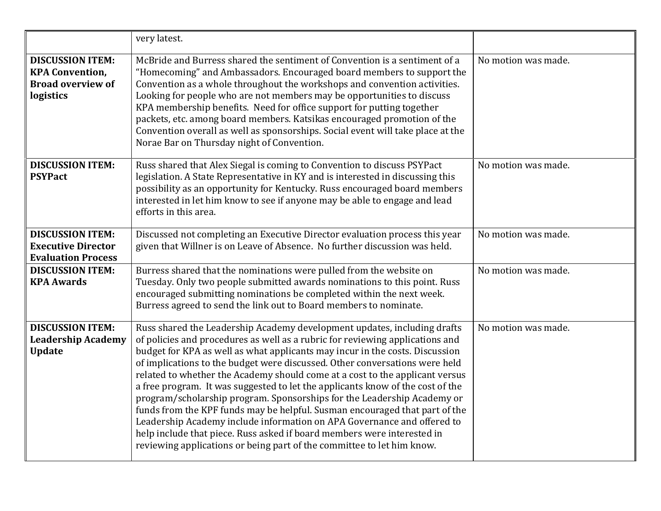|                                                                                            | very latest.                                                                                                                                                                                                                                                                                                                                                                                                                                                                                                                                                                                                                                                                                                                                                                                                                                                                         |                     |
|--------------------------------------------------------------------------------------------|--------------------------------------------------------------------------------------------------------------------------------------------------------------------------------------------------------------------------------------------------------------------------------------------------------------------------------------------------------------------------------------------------------------------------------------------------------------------------------------------------------------------------------------------------------------------------------------------------------------------------------------------------------------------------------------------------------------------------------------------------------------------------------------------------------------------------------------------------------------------------------------|---------------------|
| <b>DISCUSSION ITEM:</b><br><b>KPA Convention,</b><br><b>Broad overview of</b><br>logistics | McBride and Burress shared the sentiment of Convention is a sentiment of a<br>"Homecoming" and Ambassadors. Encouraged board members to support the<br>Convention as a whole throughout the workshops and convention activities.<br>Looking for people who are not members may be opportunities to discuss<br>KPA membership benefits. Need for office support for putting together<br>packets, etc. among board members. Katsikas encouraged promotion of the<br>Convention overall as well as sponsorships. Social event will take place at the<br>Norae Bar on Thursday night of Convention.                                                                                                                                                                                                                                                                                      | No motion was made. |
| <b>DISCUSSION ITEM:</b><br><b>PSYPact</b>                                                  | Russ shared that Alex Siegal is coming to Convention to discuss PSYPact<br>legislation. A State Representative in KY and is interested in discussing this<br>possibility as an opportunity for Kentucky. Russ encouraged board members<br>interested in let him know to see if anyone may be able to engage and lead<br>efforts in this area.                                                                                                                                                                                                                                                                                                                                                                                                                                                                                                                                        | No motion was made. |
| <b>DISCUSSION ITEM:</b><br><b>Executive Director</b><br><b>Evaluation Process</b>          | Discussed not completing an Executive Director evaluation process this year<br>given that Willner is on Leave of Absence. No further discussion was held.                                                                                                                                                                                                                                                                                                                                                                                                                                                                                                                                                                                                                                                                                                                            | No motion was made. |
| <b>DISCUSSION ITEM:</b><br><b>KPA Awards</b>                                               | Burress shared that the nominations were pulled from the website on<br>Tuesday. Only two people submitted awards nominations to this point. Russ<br>encouraged submitting nominations be completed within the next week.<br>Burress agreed to send the link out to Board members to nominate.                                                                                                                                                                                                                                                                                                                                                                                                                                                                                                                                                                                        | No motion was made. |
| <b>DISCUSSION ITEM:</b><br><b>Leadership Academy</b><br><b>Update</b>                      | Russ shared the Leadership Academy development updates, including drafts<br>of policies and procedures as well as a rubric for reviewing applications and<br>budget for KPA as well as what applicants may incur in the costs. Discussion<br>of implications to the budget were discussed. Other conversations were held<br>related to whether the Academy should come at a cost to the applicant versus<br>a free program. It was suggested to let the applicants know of the cost of the<br>program/scholarship program. Sponsorships for the Leadership Academy or<br>funds from the KPF funds may be helpful. Susman encouraged that part of the<br>Leadership Academy include information on APA Governance and offered to<br>help include that piece. Russ asked if board members were interested in<br>reviewing applications or being part of the committee to let him know. | No motion was made. |